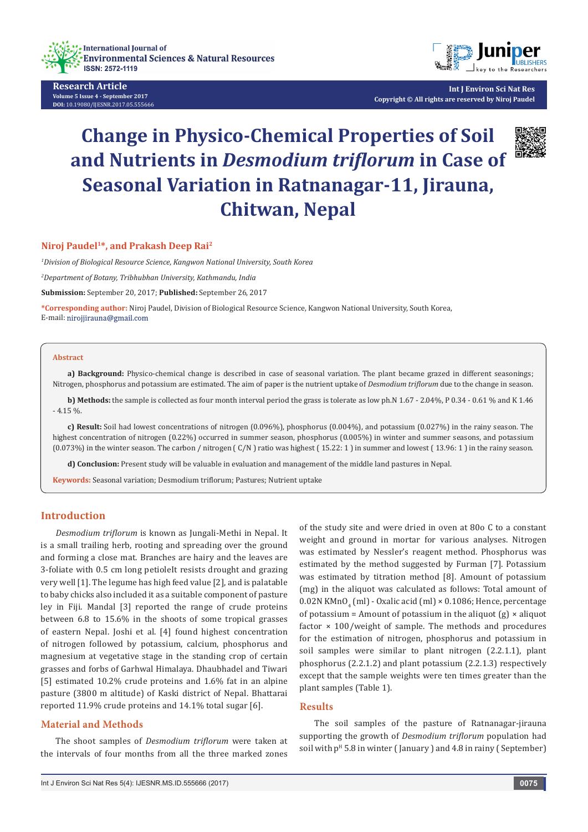

**Research Article Volume 5 Issue 4 - September 2017 DOI:** [10.19080/IJESNR.2017.05.555666](http://dx.doi.org/10.19080/IJESNR.2017.05.555666)



**Int J Environ Sci Nat Res Copyright © All rights are reserved by Niroj Paudel**

# **Change in Physico-Chemical Properties of Soil and Nutrients in** *Desmodium triflorum* **in Case of Seasonal Variation in Ratnanagar-11, Jirauna, Chitwan, Nepal**



#### **Niroj Paudel1\*, and Prakash Deep Rai2**

*1 Division of Biological Resource Science, Kangwon National University, South Korea*

*2 Department of Botany, Tribhubhan University, Kathmandu, India*

**Submission:** September 20, 2017; **Published:** September 26, 2017

**\*Corresponding author:** Niroj Paudel, Division of Biological Resource Science, Kangwon National University, South Korea, E-mail: nirojjirauna@gmail.com

#### **Abstract**

**a) Background:** Physico-chemical change is described in case of seasonal variation. The plant became grazed in different seasonings; Nitrogen, phosphorus and potassium are estimated. The aim of paper is the nutrient uptake of *Desmodium triflorum* due to the change in season.

**b) Methods:** the sample is collected as four month interval period the grass is tolerate as low ph.N 1.67 - 2.04%, P 0.34 - 0.61 % and K 1.46  $-4.15 \%$ 

**c) Result:** Soil had lowest concentrations of nitrogen (0.096%), phosphorus (0.004%), and potassium (0.027%) in the rainy season. The highest concentration of nitrogen (0.22%) occurred in summer season, phosphorus (0.005%) in winter and summer seasons, and potassium (0.073%) in the winter season. The carbon / nitrogen ( C/N ) ratio was highest ( 15.22: 1 ) in summer and lowest ( 13.96: 1 ) in the rainy season.

**d) Conclusion:** Present study will be valuable in evaluation and management of the middle land pastures in Nepal.

**Keywords:** Seasonal variation; Desmodium triflorum; Pastures; Nutrient uptake

## **Introduction**

*Desmodium triflorum* is known as Jungali-Methi in Nepal. It is a small trailing herb, rooting and spreading over the ground and forming a close mat. Branches are hairy and the leaves are 3-foliate with 0.5 cm long petioleIt resists drought and grazing very well [1]. The legume has high feed value [2], and is palatable to baby chicks also included it as a suitable component of pasture ley in Fiji. Mandal [3] reported the range of crude proteins between 6.8 to 15.6% in the shoots of some tropical grasses of eastern Nepal. Joshi et al. [4] found highest concentration of nitrogen followed by potassium, calcium, phosphorus and magnesium at vegetative stage in the standing crop of certain grasses and forbs of Garhwal Himalaya. Dhaubhadel and Tiwari [5] estimated 10.2% crude proteins and 1.6% fat in an alpine pasture (3800 m altitude) of Kaski district of Nepal. Bhattarai reported 11.9% crude proteins and 14.1% total sugar [6].

#### **Material and Methods**

The shoot samples of *Desmodium triflorum* were taken at the intervals of four months from all the three marked zones

of the study site and were dried in oven at 80o C to a constant weight and ground in mortar for various analyses. Nitrogen was estimated by Nessler's reagent method. Phosphorus was estimated by the method suggested by Furman [7]. Potassium was estimated by titration method [8]. Amount of potassium (mg) in the aliquot was calculated as follows: Total amount of  $0.02$ N KMn $0^{4}$  (ml) - Oxalic acid (ml) × 0.1086; Hence, percentage of potassium = Amount of potassium in the aliquot  $(g) \times$  aliquot factor  $\times$  100/weight of sample. The methods and procedures for the estimation of nitrogen, phosphorus and potassium in soil samples were similar to plant nitrogen (2.2.1.1), plant phosphorus (2.2.1.2) and plant potassium (2.2.1.3) respectively except that the sample weights were ten times greater than the plant samples (Table 1).

## **Results**

The soil samples of the pasture of Ratnanagar-jirauna supporting the growth of *Desmodium triflorum* population had soil with  $p<sup>H</sup> 5.8$  in winter (January) and 4.8 in rainy (September)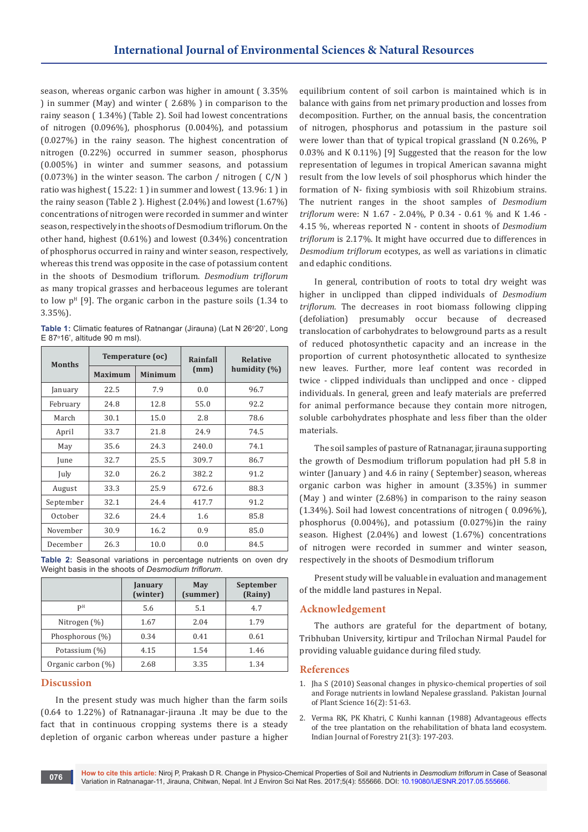season, whereas organic carbon was higher in amount ( 3.35% ) in summer (May) and winter ( 2.68% ) in comparison to the rainy season ( 1.34%) (Table 2). Soil had lowest concentrations of nitrogen (0.096%), phosphorus (0.004%), and potassium (0.027%) in the rainy season. The highest concentration of nitrogen (0.22%) occurred in summer season, phosphorus (0.005%) in winter and summer seasons, and potassium (0.073%) in the winter season. The carbon / nitrogen ( C/N ) ratio was highest ( 15.22: 1 ) in summer and lowest ( 13.96: 1 ) in the rainy season (Table 2 ). Highest (2.04%) and lowest (1.67%) concentrations of nitrogen were recorded in summer and winter season, respectively in the shoots of Desmodium triflorum. On the other hand, highest (0.61%) and lowest (0.34%) concentration of phosphorus occurred in rainy and winter season, respectively, whereas this trend was opposite in the case of potassium content in the shoots of Desmodium triflorum. *Desmodium triflorum*  as many tropical grasses and herbaceous legumes are tolerant to low  $p<sup>H</sup>$  [9]. The organic carbon in the pasture soils (1.34 to 3.35%).

**Table 1:** Climatic features of Ratnangar (Jirauna) (Lat N 26°20', Long E 87°16', altitude 90 m msl).

| <b>Months</b> | Temperature (oc) |                | Rainfall | <b>Relative</b>  |
|---------------|------------------|----------------|----------|------------------|
|               | <b>Maximum</b>   | <b>Minimum</b> | (mm)     | humidity $(\% )$ |
| January       | 22.5             | 7.9            | 0.0      | 96.7             |
| February      | 24.8             | 12.8           | 55.0     | 92.2             |
| March         | 30.1             | 15.0           | 2.8      | 78.6             |
| April         | 33.7             | 21.8           | 24.9     | 74.5             |
| May           | 35.6             | 24.3           | 240.0    | 74.1             |
| June          | 32.7             | 25.5           | 309.7    | 86.7             |
| July          | 32.0             | 26.2           | 382.2    | 91.2             |
| August        | 33.3             | 25.9           | 672.6    | 88.3             |
| September     | 32.1             | 24.4           | 417.7    | 91.2             |
| October       | 32.6             | 24.4           | 1.6      | 85.8             |
| November      | 30.9             | 16.2           | 0.9      | 85.0             |
| December      | 26.3             | 10.0           | 0.0      | 84.5             |

**Table 2:** Seasonal variations in percentage nutrients on oven dry Weight basis in the shoots of *Desmodium triflorum*.

|                    | January<br>(winter) | May<br>(summer) | September<br>(Rainy) |
|--------------------|---------------------|-----------------|----------------------|
| PН                 | 5.6                 | 5.1             | 4.7                  |
| Nitrogen (%)       | 1.67                | 2.04            | 1.79                 |
| Phosphorous (%)    | 0.34                | 0.41            | 0.61                 |
| Potassium (%)      | 4.15                | 1.54            | 1.46                 |
| Organic carbon (%) | 2.68                | 3.35            | 1.34                 |

# **Discussion**

In the present study was much higher than the farm soils (0.64 to 1.22%) of Ratnanagar-jirauna .It may be due to the fact that in continuous cropping systems there is a steady depletion of organic carbon whereas under pasture a higher equilibrium content of soil carbon is maintained which is in balance with gains from net primary production and losses from decomposition. Further, on the annual basis, the concentration of nitrogen, phosphorus and potassium in the pasture soil were lower than that of typical tropical grassland (N 0.26%, P 0.03% and K 0.11%) [9] Suggested that the reason for the low representation of legumes in tropical American savanna might result from the low levels of soil phosphorus which hinder the formation of N- fixing symbiosis with soil Rhizobium strains. The nutrient ranges in the shoot samples of *Desmodium triflorum* were: N 1.67 - 2.04%, P 0.34 - 0.61 % and K 1.46 - 4.15 %, whereas reported N - content in shoots of *Desmodium triflorum* is 2.17%. It might have occurred due to differences in *Desmodium triflorum* ecotypes, as well as variations in climatic and edaphic conditions.

In general, contribution of roots to total dry weight was higher in unclipped than clipped individuals of *Desmodium triflorum*. The decreases in root biomass following clipping (defoliation) presumably occur because of decreased translocation of carbohydrates to belowground parts as a result of reduced photosynthetic capacity and an increase in the proportion of current photosynthetic allocated to synthesize new leaves. Further, more leaf content was recorded in twice - clipped individuals than unclipped and once - clipped individuals. In general, green and leafy materials are preferred for animal performance because they contain more nitrogen, soluble carbohydrates phosphate and less fiber than the older materials.

The soil samples of pasture of Ratnanagar, jirauna supporting the growth of Desmodium triflorum population had pH 5.8 in winter (January ) and 4.6 in rainy ( September) season, whereas organic carbon was higher in amount (3.35%) in summer (May ) and winter (2.68%) in comparison to the rainy season (1.34%). Soil had lowest concentrations of nitrogen ( 0.096%), phosphorus (0.004%), and potassium (0.027%)in the rainy season. Highest (2.04%) and lowest (1.67%) concentrations of nitrogen were recorded in summer and winter season, respectively in the shoots of Desmodium triflorum

Present study will be valuable in evaluation and management of the middle land pastures in Nepal.

# **Acknowledgement**

The authors are grateful for the department of botany, Tribhuban University, kirtipur and Trilochan Nirmal Paudel for providing valuable guidance during filed study.

### **References**

- 1. Jha S (2010) Seasonal changes in physico-chemical properties of soil and Forage nutrients in lowland Nepalese grassland. Pakistan Journal of Plant Science 16(2): 51-63.
- 2. Verma RK, PK Khatri, C Kunhi kannan (1988) Advantageous effects of the tree plantation on the rehabilitation of bhata land ecosystem. Indian Journal of Forestry 21(3): 197-203.

**How to cite this article:** Niroj P, Prakash D R. Change in Physico-Chemical Properties of Soil and Nutrients in *Desmodium triflorum* in Case of Seasonal Variation in Ratnanagar-11, Jirauna, Chitwan, Nepal. Int J Environ Sci Nat Res. 2017;5(4): 555666. DOI: [10.19080/IJESNR.2017.05.555666.](http://dx.doi.org/10.19080/IJESNR.2017.05.555666) **<sup>076</sup>**